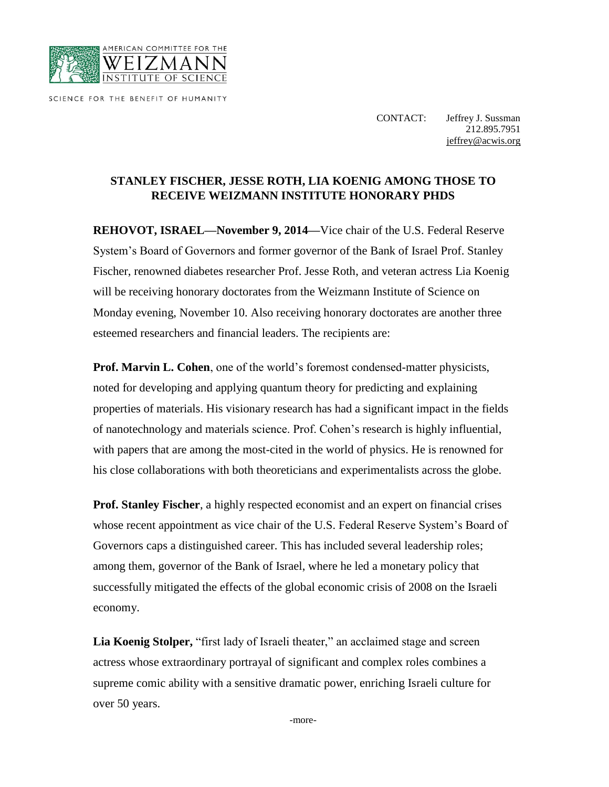

SCIENCE FOR THE BENEFIT OF HUMANITY

CONTACT: Jeffrey J. Sussman 212.895.7951 [jeffrey@acwis.org](mailto:jeffrey@acwis.org)

## **STANLEY FISCHER, JESSE ROTH, LIA KOENIG AMONG THOSE TO RECEIVE WEIZMANN INSTITUTE HONORARY PHDS**

**REHOVOT, ISRAEL—November 9, 2014—**Vice chair of the U.S. Federal Reserve System's Board of Governors and former governor of the Bank of Israel Prof. Stanley Fischer, renowned diabetes researcher Prof. Jesse Roth, and veteran actress Lia Koenig will be receiving honorary doctorates from the Weizmann Institute of Science on Monday evening, November 10. Also receiving honorary doctorates are another three esteemed researchers and financial leaders. The recipients are:

**Prof. Marvin L. Cohen**, one of the world's foremost condensed-matter physicists, noted for developing and applying quantum theory for predicting and explaining properties of materials. His visionary research has had a significant impact in the fields of nanotechnology and materials science. Prof. Cohen's research is highly influential, with papers that are among the most-cited in the world of physics. He is renowned for his close collaborations with both theoreticians and experimentalists across the globe.

**Prof. Stanley Fischer**, a highly respected economist and an expert on financial crises whose recent appointment as vice chair of the U.S. Federal Reserve System's Board of Governors caps a distinguished career. This has included several leadership roles; among them, governor of the Bank of Israel, where he led a monetary policy that successfully mitigated the effects of the global economic crisis of 2008 on the Israeli economy.

**Lia Koenig Stolper,** "first lady of Israeli theater," an acclaimed stage and screen actress whose extraordinary portrayal of significant and complex roles combines a supreme comic ability with a sensitive dramatic power, enriching Israeli culture for over 50 years.

-more-